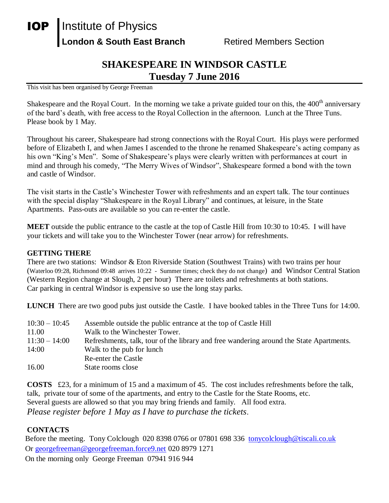## **IOP** | Institute of Physics **London & South East Branch Fighter Retired Members Section**

## **SHAKESPEARE IN WINDSOR CASTLE Tuesday 7 June 2016**

This visit has been organised by George Freeman

Shakespeare and the Royal Court. In the morning we take a private guided tour on this, the 400<sup>th</sup> anniversary of the bard's death, with free access to the Royal Collection in the afternoon. Lunch at the Three Tuns. Please book by 1 May.

Throughout his career, Shakespeare had strong connections with the Royal Court. His plays were performed before of Elizabeth I, and when James I ascended to the throne he renamed Shakespeare's acting company as his own "King's Men". Some of Shakespeare's plays were clearly written with performances at court in mind and through his comedy, "The Merry Wives of Windsor", Shakespeare formed a bond with the town and castle of Windsor.

The visit starts in the Castle's Winchester Tower with refreshments and an expert talk. The tour continues with the special display "Shakespeare in the Royal Library" and continues, at leisure, in the State Apartments. Pass-outs are available so you can re-enter the castle.

**MEET** outside the public entrance to the castle at the top of Castle Hill from 10:30 to 10:45. I will have your tickets and will take you to the Winchester Tower (near arrow) for refreshments.

## **GETTING THERE**

There are two stations: Windsor & Eton Riverside Station (Southwest Trains) with two trains per hour (Waterloo 09:28, Richmond 09:48 arrives 10:22 - Summer times; check they do not change) and Windsor Central Station (Western Region change at Slough, 2 per hour) There are toilets and refreshments at both stations. Car parking in central Windsor is expensive so use the long stay parks.

**LUNCH** There are two good pubs just outside the Castle. I have booked tables in the Three Tuns for 14:00.

| $10:30 - 10:45$ | Assemble outside the public entrance at the top of Castle Hill                          |
|-----------------|-----------------------------------------------------------------------------------------|
| 11.00           | Walk to the Winchester Tower.                                                           |
| $11:30 - 14:00$ | Refreshments, talk, tour of the library and free wandering around the State Apartments. |
| 14:00           | Walk to the pub for lunch                                                               |
|                 | Re-enter the Castle                                                                     |
| 16.00           | State rooms close                                                                       |

**COSTS** £23, for a minimum of 15 and a maximum of 45. The cost includes refreshments before the talk, talk, private tour of some of the apartments, and entry to the Castle for the State Rooms, etc. Several guests are allowed so that you may bring friends and family. All food extra. *Please register before 1 May as I have to purchase the tickets*.

## **CONTACTS**

Before the meeting. Tony Colclough 020 8398 0766 or 07801 698 336 [tonycolclough@tiscali.co.uk](mailto:tonycolclough@tiscali.co.uk) Or [georgefreeman@georgefreeman.force9.net](mailto:georgefreeman@georgefreeman.force9.net) 020 8979 1271

On the morning only George Freeman 07941 916 944